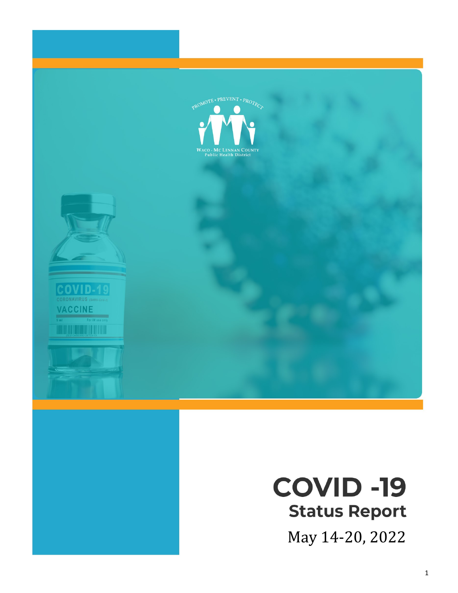

# **COVID -19 Status Report**

May 14-20, 2022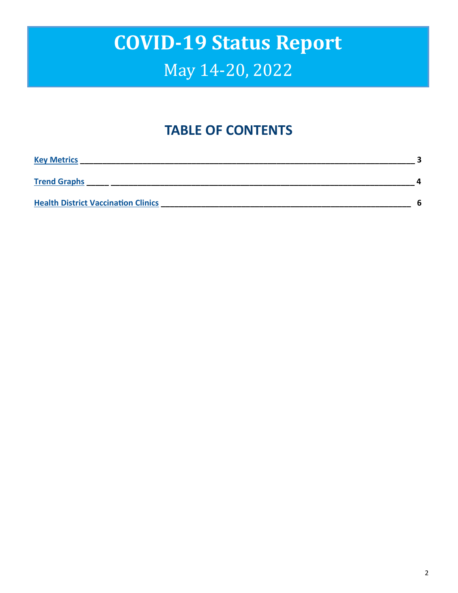### **TABLE OF CONTENTS**

| <b>Key Metrics</b>                         |   |
|--------------------------------------------|---|
| <b>Trend Graphs</b>                        |   |
| <b>Health District Vaccination Clinics</b> | հ |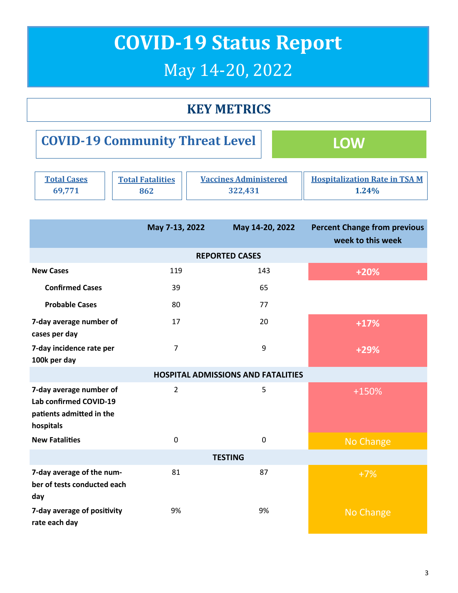### **KEY METRICS**

<span id="page-2-0"></span>

| <b>COVID-19 Community Threat Level</b> |  | <b>LOW</b> |
|----------------------------------------|--|------------|
|----------------------------------------|--|------------|

| <b>Total Cases</b> | <b>Total Fatalities</b> | <b>Vaccines Administered</b> | <b>Hospitalization Rate in TSA M</b> |
|--------------------|-------------------------|------------------------------|--------------------------------------|
| 69.771             |                         | 322,431                      | 1.24%                                |

|                                                                                            | May 7-13, 2022 | May 14-20, 2022                           | <b>Percent Change from previous</b><br>week to this week |  |
|--------------------------------------------------------------------------------------------|----------------|-------------------------------------------|----------------------------------------------------------|--|
|                                                                                            |                | <b>REPORTED CASES</b>                     |                                                          |  |
| <b>New Cases</b>                                                                           | 119            | 143                                       | $+20%$                                                   |  |
| <b>Confirmed Cases</b>                                                                     | 39             | 65                                        |                                                          |  |
| <b>Probable Cases</b>                                                                      | 80             | 77                                        |                                                          |  |
| 7-day average number of<br>cases per day                                                   | 17             | 20                                        | $+17%$                                                   |  |
| 7-day incidence rate per<br>100k per day                                                   | 7              | 9                                         | $+29%$                                                   |  |
|                                                                                            |                | <b>HOSPITAL ADMISSIONS AND FATALITIES</b> |                                                          |  |
| 7-day average number of<br>Lab confirmed COVID-19<br>patients admitted in the<br>hospitals | $\overline{2}$ | 5                                         | +150%                                                    |  |
| <b>New Fatalities</b>                                                                      | $\mathbf 0$    | $\mathbf 0$                               | No Change                                                |  |
| <b>TESTING</b>                                                                             |                |                                           |                                                          |  |
| 7-day average of the num-<br>ber of tests conducted each<br>day                            | 81             | 87                                        | $+7%$                                                    |  |
| 7-day average of positivity<br>rate each day                                               | 9%             | 9%                                        | <b>No Change</b>                                         |  |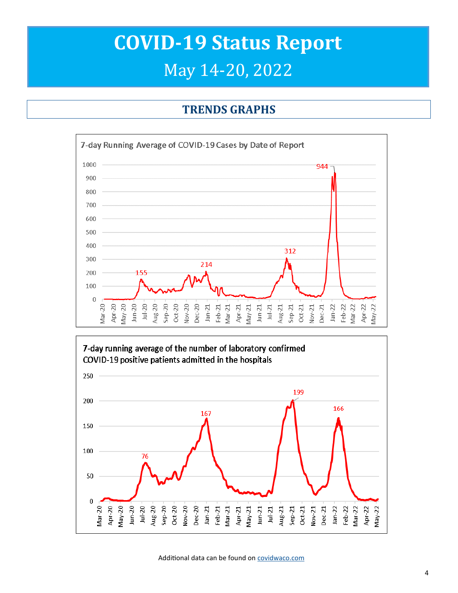#### **TRENDS GRAPHS**

<span id="page-3-0"></span>



Additional data can be found on [covidwaco.com](https://covidwaco.com/county/)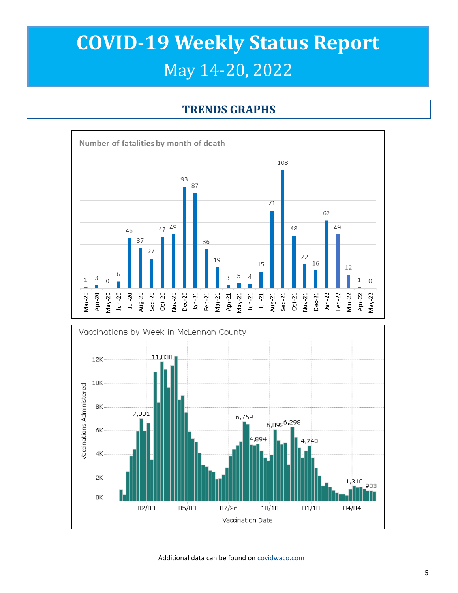### **TRENDS GRAPHS**





Additional data can be found on [covidwaco.com](https://covidwaco.com/county/)